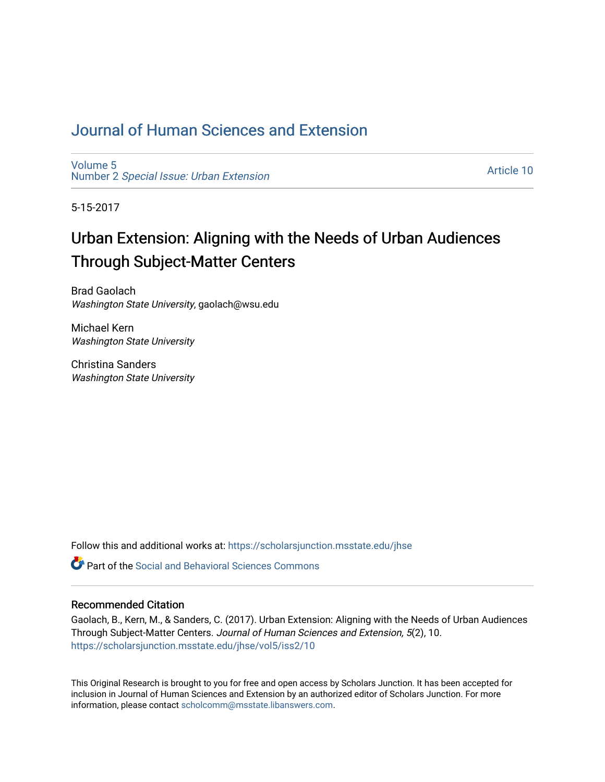# [Journal of Human Sciences and Extension](https://scholarsjunction.msstate.edu/jhse)

[Volume 5](https://scholarsjunction.msstate.edu/jhse/vol5) Number 2 [Special Issue: Urban Extension](https://scholarsjunction.msstate.edu/jhse/vol5/iss2) 

[Article 10](https://scholarsjunction.msstate.edu/jhse/vol5/iss2/10) 

5-15-2017

# Urban Extension: Aligning with the Needs of Urban Audiences Through Subject-Matter Centers

Brad Gaolach Washington State University, gaolach@wsu.edu

Michael Kern Washington State University

Christina Sanders Washington State University

Follow this and additional works at: [https://scholarsjunction.msstate.edu/jhse](https://scholarsjunction.msstate.edu/jhse?utm_source=scholarsjunction.msstate.edu%2Fjhse%2Fvol5%2Fiss2%2F10&utm_medium=PDF&utm_campaign=PDFCoverPages)

**C** Part of the Social and Behavioral Sciences Commons

#### Recommended Citation

Gaolach, B., Kern, M., & Sanders, C. (2017). Urban Extension: Aligning with the Needs of Urban Audiences Through Subject-Matter Centers. Journal of Human Sciences and Extension, 5(2), 10. [https://scholarsjunction.msstate.edu/jhse/vol5/iss2/10](https://scholarsjunction.msstate.edu/jhse/vol5/iss2/10?utm_source=scholarsjunction.msstate.edu%2Fjhse%2Fvol5%2Fiss2%2F10&utm_medium=PDF&utm_campaign=PDFCoverPages) 

This Original Research is brought to you for free and open access by Scholars Junction. It has been accepted for inclusion in Journal of Human Sciences and Extension by an authorized editor of Scholars Junction. For more information, please contact [scholcomm@msstate.libanswers.com](mailto:scholcomm@msstate.libanswers.com).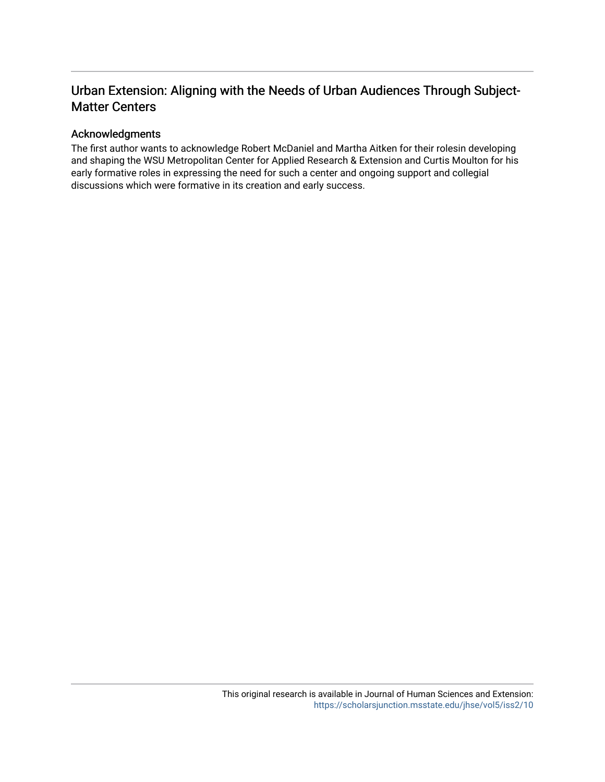# Urban Extension: Aligning with the Needs of Urban Audiences Through Subject-Matter Centers

#### Acknowledgments

The first author wants to acknowledge Robert McDaniel and Martha Aitken for their rolesin developing and shaping the WSU Metropolitan Center for Applied Research & Extension and Curtis Moulton for his early formative roles in expressing the need for such a center and ongoing support and collegial discussions which were formative in its creation and early success.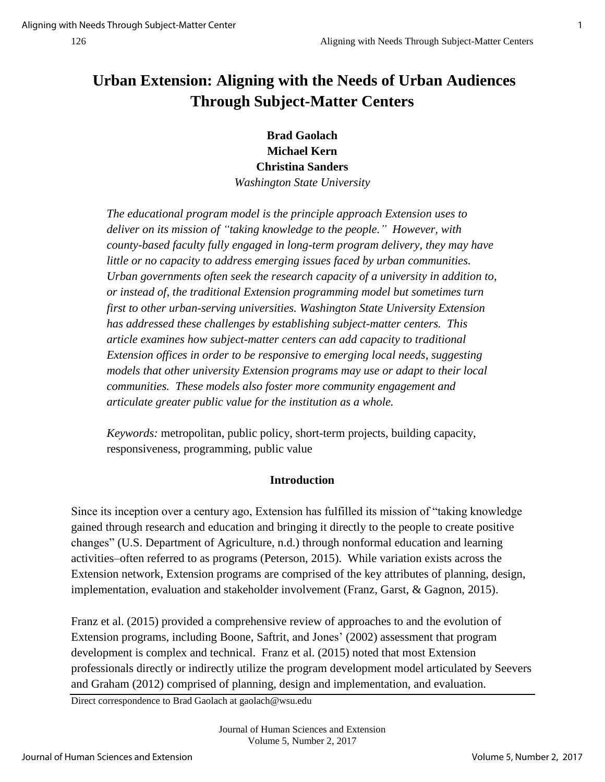# **Urban Extension: Aligning with the Needs of Urban Audiences Through Subject-Matter Centers**

## **Brad Gaolach Michael Kern Christina Sanders** *Washington State University*

*The educational program model is the principle approach Extension uses to deliver on its mission of "taking knowledge to the people." However, with county-based faculty fully engaged in long-term program delivery, they may have little or no capacity to address emerging issues faced by urban communities. Urban governments often seek the research capacity of a university in addition to, or instead of, the traditional Extension programming model but sometimes turn first to other urban-serving universities. Washington State University Extension has addressed these challenges by establishing subject-matter centers. This article examines how subject-matter centers can add capacity to traditional Extension offices in order to be responsive to emerging local needs, suggesting models that other university Extension programs may use or adapt to their local communities. These models also foster more community engagement and articulate greater public value for the institution as a whole.* 

*Keywords:* metropolitan, public policy, short-term projects, building capacity, responsiveness, programming, public value

## **Introduction**

Since its inception over a century ago, Extension has fulfilled its mission of "taking knowledge gained through research and education and bringing it directly to the people to create positive changes" (U.S. Department of Agriculture, n.d.) through nonformal education and learning activities–often referred to as programs (Peterson, 2015). While variation exists across the Extension network, Extension programs are comprised of the key attributes of planning, design, implementation, evaluation and stakeholder involvement (Franz, Garst, & Gagnon, 2015).

Franz et al. (2015) provided a comprehensive review of approaches to and the evolution of Extension programs, including Boone, Saftrit, and Jones' (2002) assessment that program development is complex and technical. Franz et al. (2015) noted that most Extension professionals directly or indirectly utilize the program development model articulated by Seevers and Graham (2012) comprised of planning, design and implementation, and evaluation.

Direct correspondence to Brad Gaolach at gaolach@wsu.edu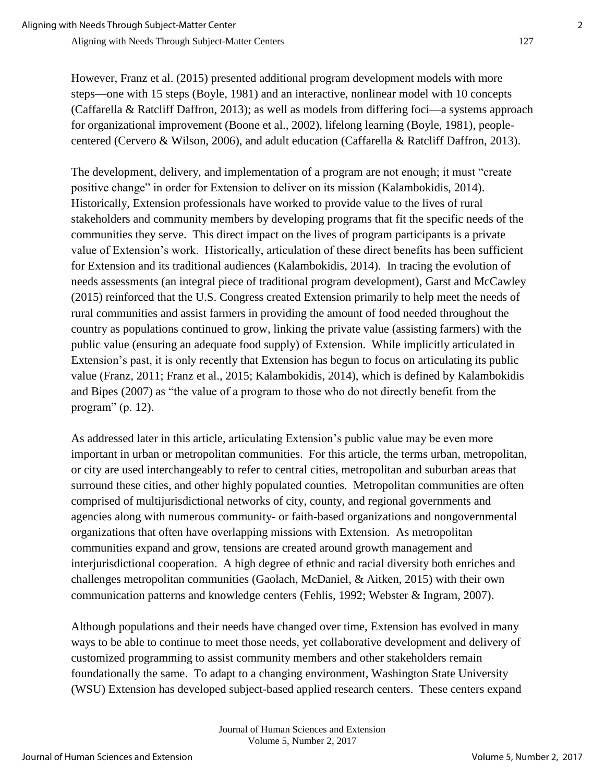However, Franz et al. (2015) presented additional program development models with more steps—one with 15 steps (Boyle, 1981) and an interactive, nonlinear model with 10 concepts (Caffarella & Ratcliff Daffron, 2013); as well as models from differing foci—a systems approach for organizational improvement (Boone et al., 2002), lifelong learning (Boyle, 1981), peoplecentered (Cervero & Wilson, 2006), and adult education (Caffarella & Ratcliff Daffron, 2013).

The development, delivery, and implementation of a program are not enough; it must "create positive change" in order for Extension to deliver on its mission (Kalambokidis, 2014). Historically, Extension professionals have worked to provide value to the lives of rural stakeholders and community members by developing programs that fit the specific needs of the communities they serve. This direct impact on the lives of program participants is a private value of Extension's work. Historically, articulation of these direct benefits has been sufficient for Extension and its traditional audiences (Kalambokidis, 2014). In tracing the evolution of needs assessments (an integral piece of traditional program development), Garst and McCawley (2015) reinforced that the U.S. Congress created Extension primarily to help meet the needs of rural communities and assist farmers in providing the amount of food needed throughout the country as populations continued to grow, linking the private value (assisting farmers) with the public value (ensuring an adequate food supply) of Extension. While implicitly articulated in Extension's past, it is only recently that Extension has begun to focus on articulating its public value (Franz, 2011; Franz et al., 2015; Kalambokidis, 2014), which is defined by Kalambokidis and Bipes (2007) as "the value of a program to those who do not directly benefit from the program" (p. 12).

As addressed later in this article, articulating Extension's public value may be even more important in urban or metropolitan communities. For this article, the terms urban, metropolitan, or city are used interchangeably to refer to central cities, metropolitan and suburban areas that surround these cities, and other highly populated counties. Metropolitan communities are often comprised of multijurisdictional networks of city, county, and regional governments and agencies along with numerous community- or faith-based organizations and nongovernmental organizations that often have overlapping missions with Extension. As metropolitan communities expand and grow, tensions are created around growth management and interjurisdictional cooperation. A high degree of ethnic and racial diversity both enriches and challenges metropolitan communities (Gaolach, McDaniel, & Aitken, 2015) with their own communication patterns and knowledge centers (Fehlis, 1992; Webster & Ingram, 2007).

Although populations and their needs have changed over time, Extension has evolved in many ways to be able to continue to meet those needs, yet collaborative development and delivery of customized programming to assist community members and other stakeholders remain foundationally the same. To adapt to a changing environment, Washington State University (WSU) Extension has developed subject-based applied research centers. These centers expand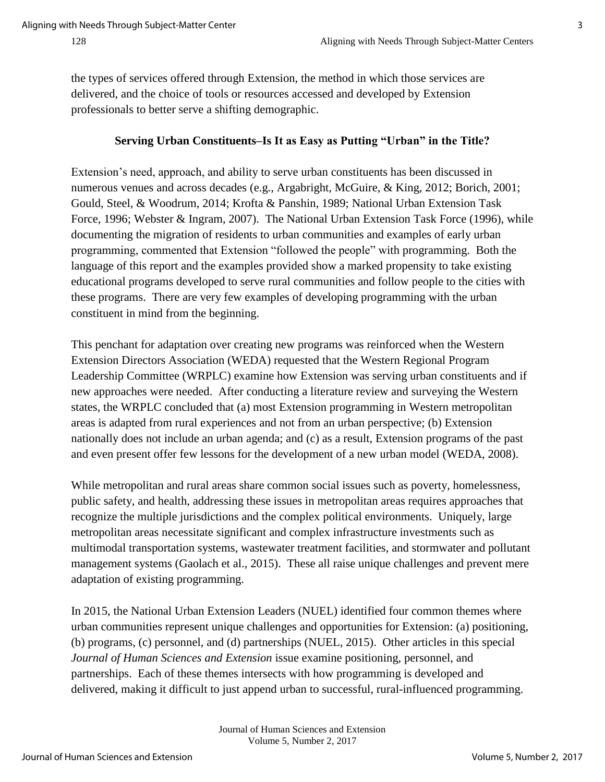the types of services offered through Extension, the method in which those services are delivered, and the choice of tools or resources accessed and developed by Extension professionals to better serve a shifting demographic.

### **Serving Urban Constituents–Is It as Easy as Putting "Urban" in the Title?**

Extension's need, approach, and ability to serve urban constituents has been discussed in numerous venues and across decades (e.g., Argabright, McGuire, & King, 2012; Borich, 2001; Gould, Steel, & Woodrum, 2014; Krofta & Panshin, 1989; National Urban Extension Task Force, 1996; Webster & Ingram, 2007). The National Urban Extension Task Force (1996), while documenting the migration of residents to urban communities and examples of early urban programming, commented that Extension "followed the people" with programming. Both the language of this report and the examples provided show a marked propensity to take existing educational programs developed to serve rural communities and follow people to the cities with these programs. There are very few examples of developing programming with the urban constituent in mind from the beginning.

This penchant for adaptation over creating new programs was reinforced when the Western Extension Directors Association (WEDA) requested that the Western Regional Program Leadership Committee (WRPLC) examine how Extension was serving urban constituents and if new approaches were needed. After conducting a literature review and surveying the Western states, the WRPLC concluded that (a) most Extension programming in Western metropolitan areas is adapted from rural experiences and not from an urban perspective; (b) Extension nationally does not include an urban agenda; and (c) as a result, Extension programs of the past and even present offer few lessons for the development of a new urban model (WEDA, 2008).

While metropolitan and rural areas share common social issues such as poverty, homelessness, public safety, and health, addressing these issues in metropolitan areas requires approaches that recognize the multiple jurisdictions and the complex political environments. Uniquely, large metropolitan areas necessitate significant and complex infrastructure investments such as multimodal transportation systems, wastewater treatment facilities, and stormwater and pollutant management systems (Gaolach et al., 2015). These all raise unique challenges and prevent mere adaptation of existing programming.

In 2015, the National Urban Extension Leaders (NUEL) identified four common themes where urban communities represent unique challenges and opportunities for Extension: (a) positioning, (b) programs, (c) personnel, and (d) partnerships (NUEL, 2015). Other articles in this special *Journal of Human Sciences and Extension* issue examine positioning, personnel, and partnerships. Each of these themes intersects with how programming is developed and delivered, making it difficult to just append urban to successful, rural-influenced programming.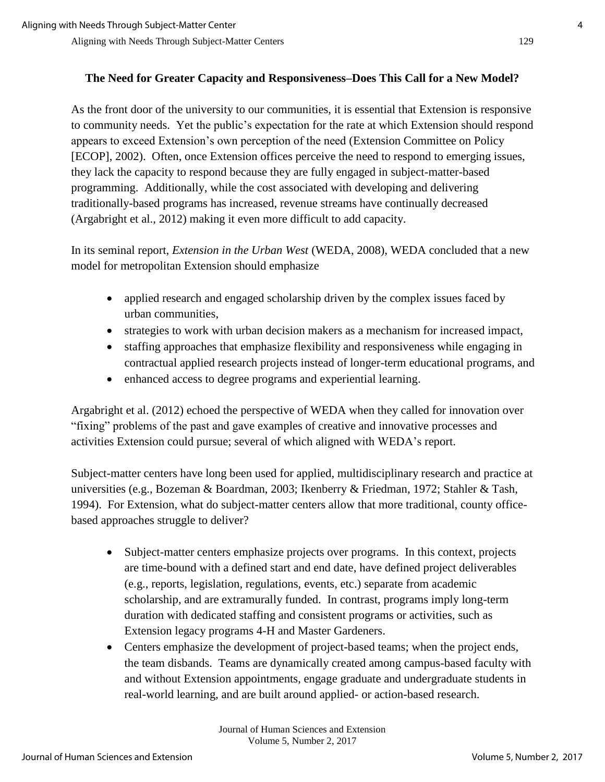## **The Need for Greater Capacity and Responsiveness–Does This Call for a New Model?**

As the front door of the university to our communities, it is essential that Extension is responsive to community needs. Yet the public's expectation for the rate at which Extension should respond appears to exceed Extension's own perception of the need (Extension Committee on Policy [ECOP], 2002). Often, once Extension offices perceive the need to respond to emerging issues, they lack the capacity to respond because they are fully engaged in subject-matter-based programming. Additionally, while the cost associated with developing and delivering traditionally-based programs has increased, revenue streams have continually decreased (Argabright et al., 2012) making it even more difficult to add capacity.

In its seminal report, *Extension in the Urban West* (WEDA, 2008), WEDA concluded that a new model for metropolitan Extension should emphasize

- applied research and engaged scholarship driven by the complex issues faced by urban communities,
- strategies to work with urban decision makers as a mechanism for increased impact,
- staffing approaches that emphasize flexibility and responsiveness while engaging in contractual applied research projects instead of longer-term educational programs, and
- enhanced access to degree programs and experiential learning.

Argabright et al. (2012) echoed the perspective of WEDA when they called for innovation over "fixing" problems of the past and gave examples of creative and innovative processes and activities Extension could pursue; several of which aligned with WEDA's report.

Subject-matter centers have long been used for applied, multidisciplinary research and practice at universities (e.g., Bozeman & Boardman, 2003; Ikenberry & Friedman, 1972; Stahler & Tash, 1994). For Extension, what do subject-matter centers allow that more traditional, county officebased approaches struggle to deliver?

- Subject-matter centers emphasize projects over programs. In this context, projects are time-bound with a defined start and end date, have defined project deliverables (e.g., reports, legislation, regulations, events, etc.) separate from academic scholarship, and are extramurally funded. In contrast, programs imply long-term duration with dedicated staffing and consistent programs or activities, such as Extension legacy programs 4-H and Master Gardeners.
- Centers emphasize the development of project-based teams; when the project ends, the team disbands. Teams are dynamically created among campus-based faculty with and without Extension appointments, engage graduate and undergraduate students in real-world learning, and are built around applied- or action-based research.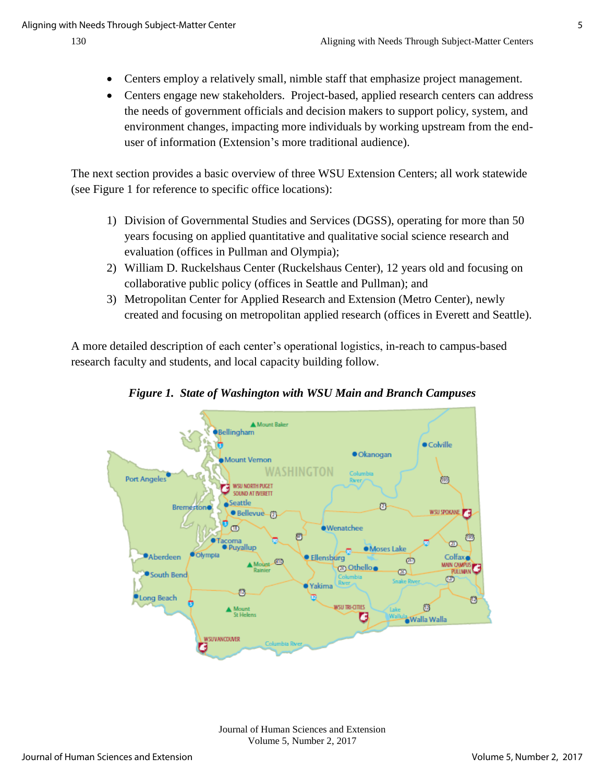- Centers employ a relatively small, nimble staff that emphasize project management.
- Centers engage new stakeholders. Project-based, applied research centers can address the needs of government officials and decision makers to support policy, system, and environment changes, impacting more individuals by working upstream from the enduser of information (Extension's more traditional audience).

The next section provides a basic overview of three WSU Extension Centers; all work statewide (see Figure 1 for reference to specific office locations):

- 1) Division of Governmental Studies and Services (DGSS), operating for more than 50 years focusing on applied quantitative and qualitative social science research and evaluation (offices in Pullman and Olympia);
- 2) William D. Ruckelshaus Center (Ruckelshaus Center), 12 years old and focusing on collaborative public policy (offices in Seattle and Pullman); and
- 3) Metropolitan Center for Applied Research and Extension (Metro Center), newly created and focusing on metropolitan applied research (offices in Everett and Seattle).

A more detailed description of each center's operational logistics, in-reach to campus-based research faculty and students, and local capacity building follow.



*Figure 1. State of Washington with WSU Main and Branch Campuses*

Journal of Human Sciences and Extension Volume 5, Number 2, 2017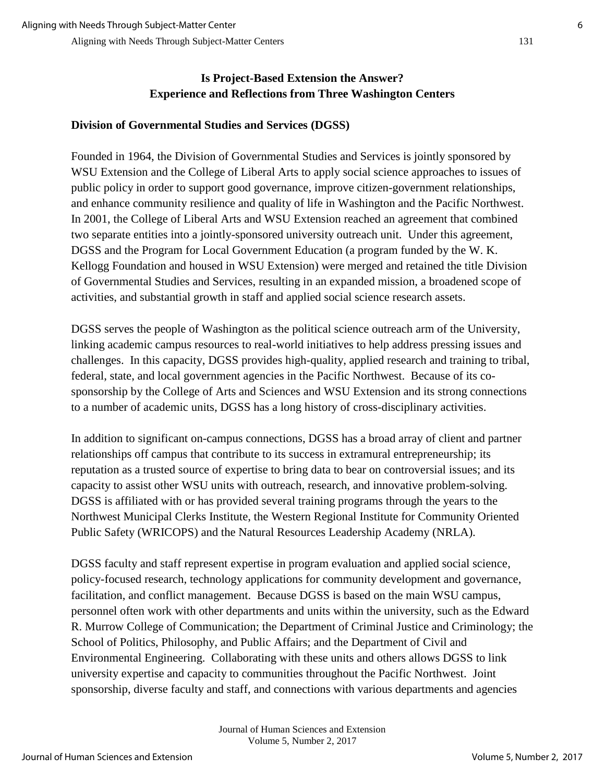## **Is Project-Based Extension the Answer? Experience and Reflections from Three Washington Centers**

### **Division of Governmental Studies and Services (DGSS)**

Founded in 1964, the Division of Governmental Studies and Services is jointly sponsored by WSU Extension and the College of Liberal Arts to apply social science approaches to issues of public policy in order to support good governance, improve citizen-government relationships, and enhance community resilience and quality of life in Washington and the Pacific Northwest. In 2001, the College of Liberal Arts and WSU Extension reached an agreement that combined two separate entities into a jointly-sponsored university outreach unit. Under this agreement, DGSS and the Program for Local Government Education (a program funded by the W. K. Kellogg Foundation and housed in WSU Extension) were merged and retained the title Division of Governmental Studies and Services, resulting in an expanded mission, a broadened scope of activities, and substantial growth in staff and applied social science research assets.

DGSS serves the people of Washington as the political science outreach arm of the University, linking academic campus resources to real-world initiatives to help address pressing issues and challenges. In this capacity, DGSS provides high-quality, applied research and training to tribal, federal, state, and local government agencies in the Pacific Northwest. Because of its cosponsorship by the College of Arts and Sciences and WSU Extension and its strong connections to a number of academic units, DGSS has a long history of cross-disciplinary activities.

In addition to significant on-campus connections, DGSS has a broad array of client and partner relationships off campus that contribute to its success in extramural entrepreneurship; its reputation as a trusted source of expertise to bring data to bear on controversial issues; and its capacity to assist other WSU units with outreach, research, and innovative problem-solving. DGSS is affiliated with or has provided several training programs through the years to the Northwest Municipal Clerks Institute, the Western Regional Institute for Community Oriented Public Safety (WRICOPS) and the Natural Resources Leadership Academy (NRLA).

DGSS faculty and staff represent expertise in program evaluation and applied social science, policy-focused research, technology applications for community development and governance, facilitation, and conflict management. Because DGSS is based on the main WSU campus, personnel often work with other departments and units within the university, such as the Edward R. Murrow College of Communication; the Department of Criminal Justice and Criminology; the School of Politics, Philosophy, and Public Affairs; and the Department of Civil and Environmental Engineering. Collaborating with these units and others allows DGSS to link university expertise and capacity to communities throughout the Pacific Northwest. Joint sponsorship, diverse faculty and staff, and connections with various departments and agencies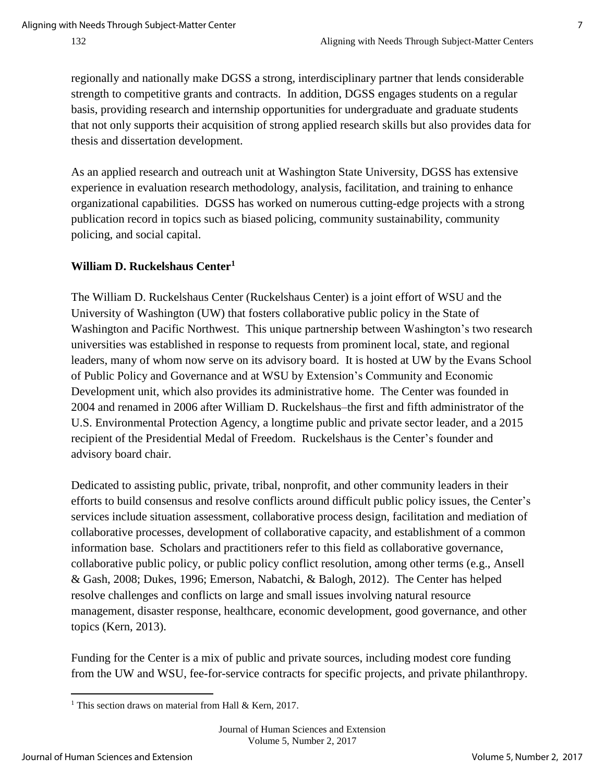regionally and nationally make DGSS a strong, interdisciplinary partner that lends considerable strength to competitive grants and contracts. In addition, DGSS engages students on a regular basis, providing research and internship opportunities for undergraduate and graduate students that not only supports their acquisition of strong applied research skills but also provides data for thesis and dissertation development.

As an applied research and outreach unit at Washington State University, DGSS has extensive experience in evaluation research methodology, analysis, facilitation, and training to enhance organizational capabilities. DGSS has worked on numerous cutting-edge projects with a strong publication record in topics such as biased policing, community sustainability, community policing, and social capital.

### **William D. Ruckelshaus Center<sup>1</sup>**

The William D. Ruckelshaus Center (Ruckelshaus Center) is a joint effort of WSU and the University of Washington (UW) that fosters collaborative public policy in the State of Washington and Pacific Northwest. This unique partnership between Washington's two research universities was established in response to requests from prominent local, state, and regional leaders, many of whom now serve on its advisory board. It is hosted at UW by the Evans School of Public Policy and Governance and at WSU by Extension's Community and Economic Development unit, which also provides its administrative home. The Center was founded in 2004 and renamed in 2006 after William D. Ruckelshaus–the first and fifth administrator of the U.S. Environmental Protection Agency, a longtime public and private sector leader, and a 2015 recipient of the Presidential Medal of Freedom. Ruckelshaus is the Center's founder and advisory board chair.

Dedicated to assisting public, private, tribal, nonprofit, and other community leaders in their efforts to build consensus and resolve conflicts around difficult public policy issues, the Center's services include situation assessment, collaborative process design, facilitation and mediation of collaborative processes, development of collaborative capacity, and establishment of a common information base. Scholars and practitioners refer to this field as collaborative governance, collaborative public policy, or public policy conflict resolution, among other terms (e.g., Ansell & Gash, 2008; Dukes, 1996; Emerson, Nabatchi, & Balogh, 2012). The Center has helped resolve challenges and conflicts on large and small issues involving natural resource management, disaster response, healthcare, economic development, good governance, and other topics (Kern, 2013).

Funding for the Center is a mix of public and private sources, including modest core funding from the UW and WSU, fee-for-service contracts for specific projects, and private philanthropy.

 $\overline{a}$ 

<sup>&</sup>lt;sup>1</sup> This section draws on material from Hall & Kern, 2017.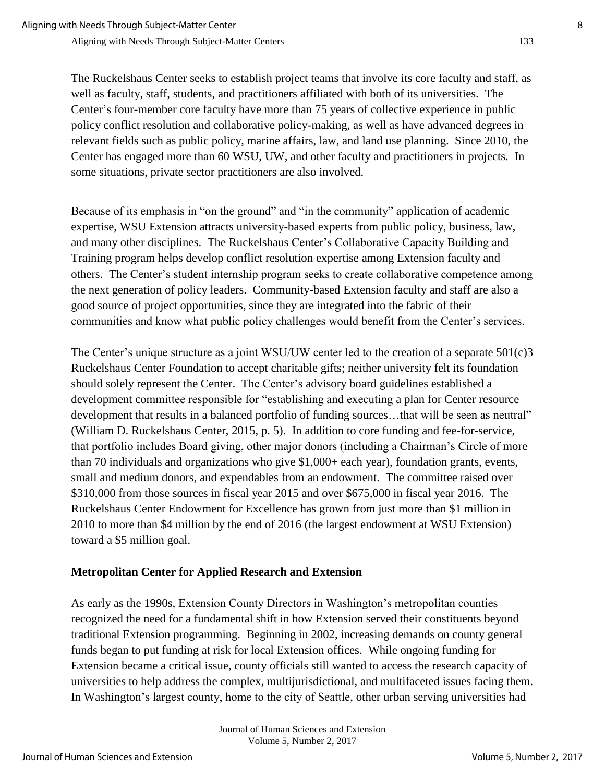The Ruckelshaus Center seeks to establish project teams that involve its core faculty and staff, as well as faculty, staff, students, and practitioners affiliated with both of its universities. The Center's four-member core faculty have more than 75 years of collective experience in public policy conflict resolution and collaborative policy-making, as well as have advanced degrees in relevant fields such as public policy, marine affairs, law, and land use planning. Since 2010, the Center has engaged more than 60 WSU, UW, and other faculty and practitioners in projects. In some situations, private sector practitioners are also involved.

Because of its emphasis in "on the ground" and "in the community" application of academic expertise, WSU Extension attracts university-based experts from public policy, business, law, and many other disciplines. The Ruckelshaus Center's Collaborative Capacity Building and Training program helps develop conflict resolution expertise among Extension faculty and others. The Center's student internship program seeks to create collaborative competence among the next generation of policy leaders. Community-based Extension faculty and staff are also a good source of project opportunities, since they are integrated into the fabric of their communities and know what public policy challenges would benefit from the Center's services.

The Center's unique structure as a joint WSU/UW center led to the creation of a separate 501(c)3 Ruckelshaus Center Foundation to accept charitable gifts; neither university felt its foundation should solely represent the Center. The Center's advisory board guidelines established a development committee responsible for "establishing and executing a plan for Center resource development that results in a balanced portfolio of funding sources…that will be seen as neutral" (William D. Ruckelshaus Center, 2015, p. 5). In addition to core funding and fee-for-service, that portfolio includes Board giving, other major donors (including a Chairman's Circle of more than 70 individuals and organizations who give \$1,000+ each year), foundation grants, events, small and medium donors, and expendables from an endowment. The committee raised over \$310,000 from those sources in fiscal year 2015 and over \$675,000 in fiscal year 2016. The Ruckelshaus Center Endowment for Excellence has grown from just more than \$1 million in 2010 to more than \$4 million by the end of 2016 (the largest endowment at WSU Extension) toward a \$5 million goal.

## **Metropolitan Center for Applied Research and Extension**

As early as the 1990s, Extension County Directors in Washington's metropolitan counties recognized the need for a fundamental shift in how Extension served their constituents beyond traditional Extension programming. Beginning in 2002, increasing demands on county general funds began to put funding at risk for local Extension offices. While ongoing funding for Extension became a critical issue, county officials still wanted to access the research capacity of universities to help address the complex, multijurisdictional, and multifaceted issues facing them. In Washington's largest county, home to the city of Seattle, other urban serving universities had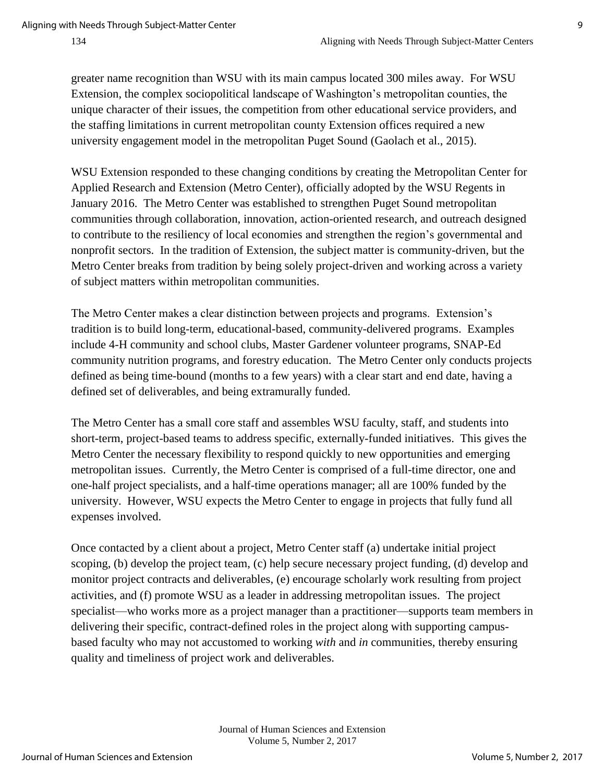greater name recognition than WSU with its main campus located 300 miles away. For WSU Extension, the complex sociopolitical landscape of Washington's metropolitan counties, the unique character of their issues, the competition from other educational service providers, and the staffing limitations in current metropolitan county Extension offices required a new university engagement model in the metropolitan Puget Sound (Gaolach et al., 2015).

WSU Extension responded to these changing conditions by creating the Metropolitan Center for Applied Research and Extension (Metro Center), officially adopted by the WSU Regents in January 2016. The Metro Center was established to strengthen Puget Sound metropolitan communities through collaboration, innovation, action-oriented research, and outreach designed to contribute to the resiliency of local economies and strengthen the region's governmental and nonprofit sectors. In the tradition of Extension, the subject matter is community-driven, but the Metro Center breaks from tradition by being solely project-driven and working across a variety of subject matters within metropolitan communities.

The Metro Center makes a clear distinction between projects and programs. Extension's tradition is to build long-term, educational-based, community-delivered programs. Examples include 4-H community and school clubs, Master Gardener volunteer programs, SNAP-Ed community nutrition programs, and forestry education. The Metro Center only conducts projects defined as being time-bound (months to a few years) with a clear start and end date, having a defined set of deliverables, and being extramurally funded.

The Metro Center has a small core staff and assembles WSU faculty, staff, and students into short-term, project-based teams to address specific, externally-funded initiatives. This gives the Metro Center the necessary flexibility to respond quickly to new opportunities and emerging metropolitan issues. Currently, the Metro Center is comprised of a full-time director, one and one-half project specialists, and a half-time operations manager; all are 100% funded by the university. However, WSU expects the Metro Center to engage in projects that fully fund all expenses involved.

Once contacted by a client about a project, Metro Center staff (a) undertake initial project scoping, (b) develop the project team, (c) help secure necessary project funding, (d) develop and monitor project contracts and deliverables, (e) encourage scholarly work resulting from project activities, and (f) promote WSU as a leader in addressing metropolitan issues. The project specialist—who works more as a project manager than a practitioner—supports team members in delivering their specific, contract-defined roles in the project along with supporting campusbased faculty who may not accustomed to working *with* and *in* communities, thereby ensuring quality and timeliness of project work and deliverables.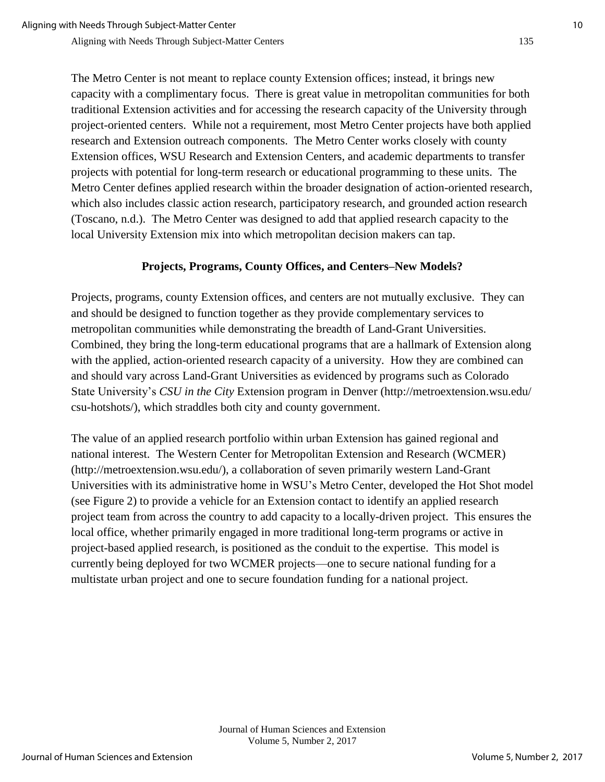The Metro Center is not meant to replace county Extension offices; instead, it brings new capacity with a complimentary focus. There is great value in metropolitan communities for both traditional Extension activities and for accessing the research capacity of the University through project-oriented centers. While not a requirement, most Metro Center projects have both applied research and Extension outreach components. The Metro Center works closely with county Extension offices, WSU Research and Extension Centers, and academic departments to transfer projects with potential for long-term research or educational programming to these units. The Metro Center defines applied research within the broader designation of action-oriented research, which also includes classic action research, participatory research, and grounded action research (Toscano, n.d.). The Metro Center was designed to add that applied research capacity to the local University Extension mix into which metropolitan decision makers can tap.

### **Projects, Programs, County Offices, and Centers–New Models?**

Projects, programs, county Extension offices, and centers are not mutually exclusive. They can and should be designed to function together as they provide complementary services to metropolitan communities while demonstrating the breadth of Land-Grant Universities. Combined, they bring the long-term educational programs that are a hallmark of Extension along with the applied, action-oriented research capacity of a university. How they are combined can and should vary across Land-Grant Universities as evidenced by programs such as Colorado State University's *CSU in the City* Extension program in Denver (http://metroextension.wsu.edu/ csu-hotshots/), which straddles both city and county government.

The value of an applied research portfolio within urban Extension has gained regional and national interest. The Western Center for Metropolitan Extension and Research (WCMER) (http://metroextension.wsu.edu/), a collaboration of seven primarily western Land-Grant Universities with its administrative home in WSU's Metro Center, developed the Hot Shot model (see Figure 2) to provide a vehicle for an Extension contact to identify an applied research project team from across the country to add capacity to a locally-driven project. This ensures the local office, whether primarily engaged in more traditional long-term programs or active in project-based applied research, is positioned as the conduit to the expertise. This model is currently being deployed for two WCMER projects—one to secure national funding for a multistate urban project and one to secure foundation funding for a national project.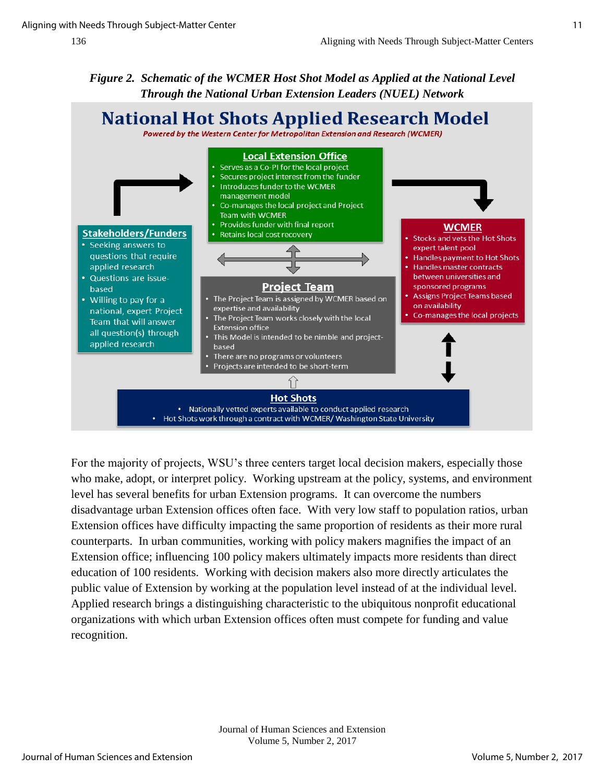



For the majority of projects, WSU's three centers target local decision makers, especially those who make, adopt, or interpret policy. Working upstream at the policy, systems, and environment level has several benefits for urban Extension programs. It can overcome the numbers disadvantage urban Extension offices often face. With very low staff to population ratios, urban Extension offices have difficulty impacting the same proportion of residents as their more rural counterparts. In urban communities, working with policy makers magnifies the impact of an Extension office; influencing 100 policy makers ultimately impacts more residents than direct education of 100 residents. Working with decision makers also more directly articulates the public value of Extension by working at the population level instead of at the individual level. Applied research brings a distinguishing characteristic to the ubiquitous nonprofit educational organizations with which urban Extension offices often must compete for funding and value recognition.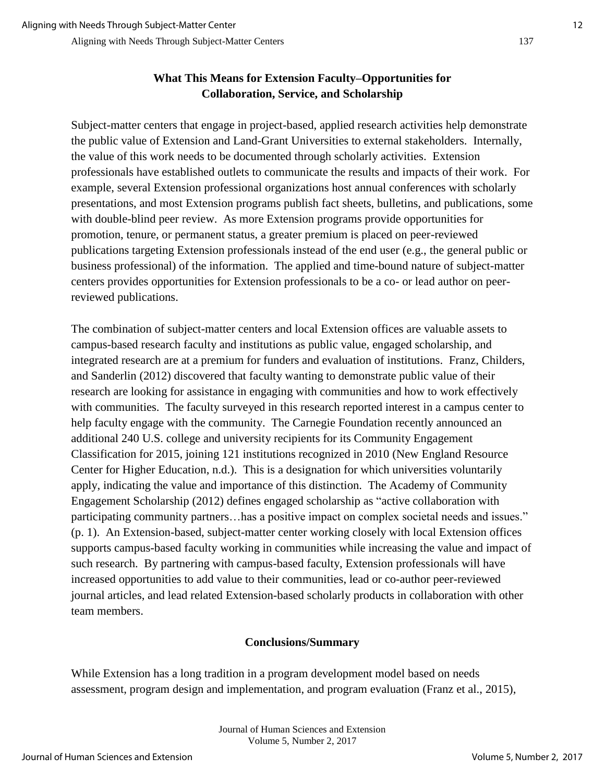## **What This Means for Extension Faculty–Opportunities for Collaboration, Service, and Scholarship**

Subject-matter centers that engage in project-based, applied research activities help demonstrate the public value of Extension and Land-Grant Universities to external stakeholders. Internally, the value of this work needs to be documented through scholarly activities. Extension professionals have established outlets to communicate the results and impacts of their work. For example, several Extension professional organizations host annual conferences with scholarly presentations, and most Extension programs publish fact sheets, bulletins, and publications, some with double-blind peer review. As more Extension programs provide opportunities for promotion, tenure, or permanent status, a greater premium is placed on peer-reviewed publications targeting Extension professionals instead of the end user (e.g., the general public or business professional) of the information. The applied and time-bound nature of subject-matter centers provides opportunities for Extension professionals to be a co- or lead author on peerreviewed publications.

The combination of subject-matter centers and local Extension offices are valuable assets to campus-based research faculty and institutions as public value, engaged scholarship, and integrated research are at a premium for funders and evaluation of institutions. Franz, Childers, and Sanderlin (2012) discovered that faculty wanting to demonstrate public value of their research are looking for assistance in engaging with communities and how to work effectively with communities. The faculty surveyed in this research reported interest in a campus center to help faculty engage with the community. The Carnegie Foundation recently announced an additional 240 U.S. college and university recipients for its Community Engagement Classification for 2015, joining 121 institutions recognized in 2010 (New England Resource Center for Higher Education, n.d.). This is a designation for which universities voluntarily apply, indicating the value and importance of this distinction. The Academy of Community Engagement Scholarship (2012) defines engaged scholarship as "active collaboration with participating community partners…has a positive impact on complex societal needs and issues." (p. 1). An Extension-based, subject-matter center working closely with local Extension offices supports campus-based faculty working in communities while increasing the value and impact of such research. By partnering with campus-based faculty, Extension professionals will have increased opportunities to add value to their communities, lead or co-author peer-reviewed journal articles, and lead related Extension-based scholarly products in collaboration with other team members.

#### **Conclusions/Summary**

While Extension has a long tradition in a program development model based on needs assessment, program design and implementation, and program evaluation (Franz et al., 2015),

> Journal of Human Sciences and Extension Volume 5, Number 2, 2017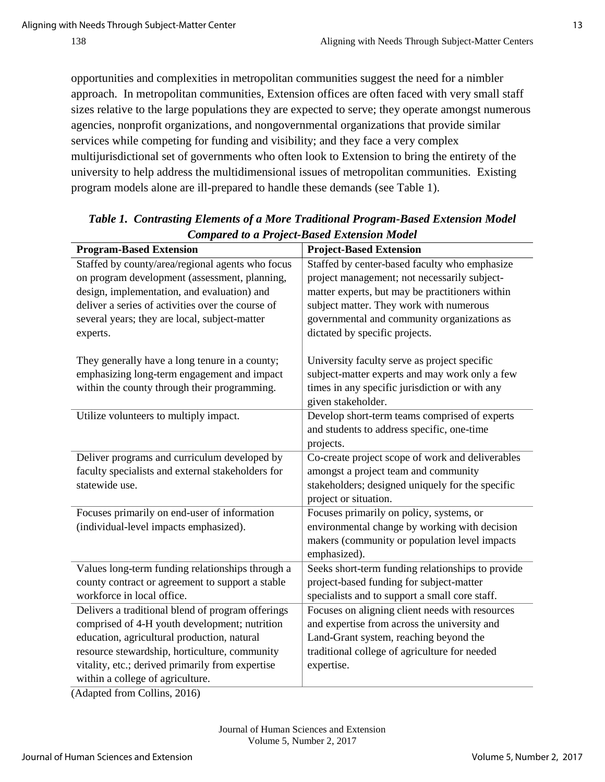opportunities and complexities in metropolitan communities suggest the need for a nimbler approach. In metropolitan communities, Extension offices are often faced with very small staff sizes relative to the large populations they are expected to serve; they operate amongst numerous agencies, nonprofit organizations, and nongovernmental organizations that provide similar services while competing for funding and visibility; and they face a very complex multijurisdictional set of governments who often look to Extension to bring the entirety of the university to help address the multidimensional issues of metropolitan communities. Existing program models alone are ill-prepared to handle these demands (see Table 1).

| <b>Program-Based Extension</b>                                                                       | <b>Project-Based Extension</b>                                      |
|------------------------------------------------------------------------------------------------------|---------------------------------------------------------------------|
| Staffed by county/area/regional agents who focus                                                     | Staffed by center-based faculty who emphasize                       |
| on program development (assessment, planning,                                                        | project management; not necessarily subject-                        |
| design, implementation, and evaluation) and                                                          | matter experts, but may be practitioners within                     |
| deliver a series of activities over the course of                                                    | subject matter. They work with numerous                             |
| several years; they are local, subject-matter                                                        | governmental and community organizations as                         |
| experts.                                                                                             | dictated by specific projects.                                      |
|                                                                                                      | University faculty serve as project specific                        |
| They generally have a long tenure in a county;<br>emphasizing long-term engagement and impact        | subject-matter experts and may work only a few                      |
| within the county through their programming.                                                         |                                                                     |
|                                                                                                      | times in any specific jurisdiction or with any                      |
| Utilize volunteers to multiply impact.                                                               | given stakeholder.<br>Develop short-term teams comprised of experts |
|                                                                                                      | and students to address specific, one-time                          |
|                                                                                                      |                                                                     |
|                                                                                                      | projects.                                                           |
| Deliver programs and curriculum developed by                                                         | Co-create project scope of work and deliverables                    |
| faculty specialists and external stakeholders for                                                    | amongst a project team and community                                |
| statewide use.                                                                                       | stakeholders; designed uniquely for the specific                    |
|                                                                                                      | project or situation.                                               |
| Focuses primarily on end-user of information                                                         | Focuses primarily on policy, systems, or                            |
| (individual-level impacts emphasized).                                                               | environmental change by working with decision                       |
|                                                                                                      | makers (community or population level impacts                       |
|                                                                                                      | emphasized).                                                        |
| Values long-term funding relationships through a                                                     | Seeks short-term funding relationships to provide                   |
| county contract or agreement to support a stable                                                     | project-based funding for subject-matter                            |
| workforce in local office.                                                                           | specialists and to support a small core staff.                      |
| Delivers a traditional blend of program offerings                                                    | Focuses on aligning client needs with resources                     |
| comprised of 4-H youth development; nutrition                                                        | and expertise from across the university and                        |
| education, agricultural production, natural                                                          | Land-Grant system, reaching beyond the                              |
| resource stewardship, horticulture, community                                                        | traditional college of agriculture for needed                       |
| vitality, etc.; derived primarily from expertise                                                     | expertise.                                                          |
| within a college of agriculture.<br>$(A \cdot \lambda_{\text{model}})$ from $C_2 \text{Hence } 2016$ |                                                                     |

*Table 1. Contrasting Elements of a More Traditional Program-Based Extension Model Compared to a Project-Based Extension Model*

(Adapted from Collins, 2016)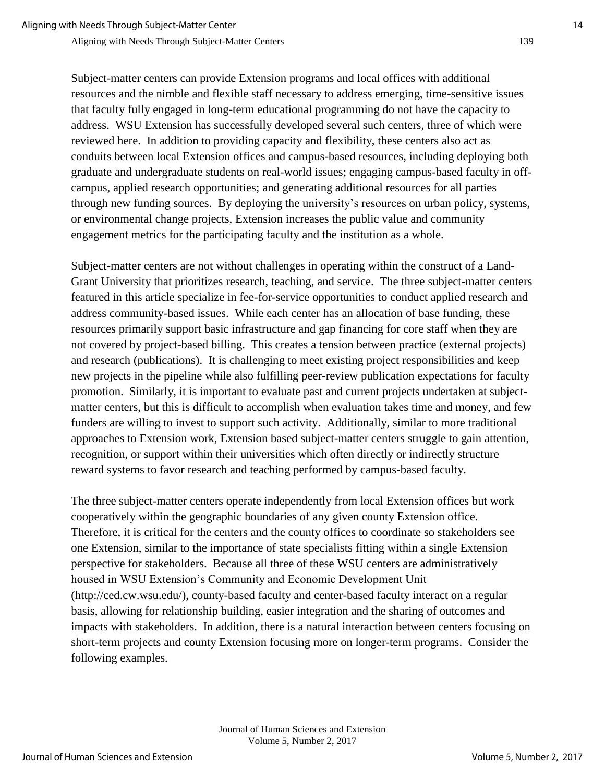Subject-matter centers can provide Extension programs and local offices with additional resources and the nimble and flexible staff necessary to address emerging, time-sensitive issues that faculty fully engaged in long-term educational programming do not have the capacity to address. WSU Extension has successfully developed several such centers, three of which were reviewed here. In addition to providing capacity and flexibility, these centers also act as conduits between local Extension offices and campus-based resources, including deploying both graduate and undergraduate students on real-world issues; engaging campus-based faculty in offcampus, applied research opportunities; and generating additional resources for all parties through new funding sources. By deploying the university's resources on urban policy, systems, or environmental change projects, Extension increases the public value and community engagement metrics for the participating faculty and the institution as a whole.

Subject-matter centers are not without challenges in operating within the construct of a Land-Grant University that prioritizes research, teaching, and service. The three subject-matter centers featured in this article specialize in fee-for-service opportunities to conduct applied research and address community-based issues. While each center has an allocation of base funding, these resources primarily support basic infrastructure and gap financing for core staff when they are not covered by project-based billing. This creates a tension between practice (external projects) and research (publications). It is challenging to meet existing project responsibilities and keep new projects in the pipeline while also fulfilling peer-review publication expectations for faculty promotion. Similarly, it is important to evaluate past and current projects undertaken at subjectmatter centers, but this is difficult to accomplish when evaluation takes time and money, and few funders are willing to invest to support such activity. Additionally, similar to more traditional approaches to Extension work, Extension based subject-matter centers struggle to gain attention, recognition, or support within their universities which often directly or indirectly structure reward systems to favor research and teaching performed by campus-based faculty.

The three subject-matter centers operate independently from local Extension offices but work cooperatively within the geographic boundaries of any given county Extension office. Therefore, it is critical for the centers and the county offices to coordinate so stakeholders see one Extension, similar to the importance of state specialists fitting within a single Extension perspective for stakeholders. Because all three of these WSU centers are administratively housed in WSU Extension's Community and Economic Development Unit (http://ced.cw.wsu.edu/), county-based faculty and center-based faculty interact on a regular basis, allowing for relationship building, easier integration and the sharing of outcomes and impacts with stakeholders. In addition, there is a natural interaction between centers focusing on short-term projects and county Extension focusing more on longer-term programs. Consider the following examples.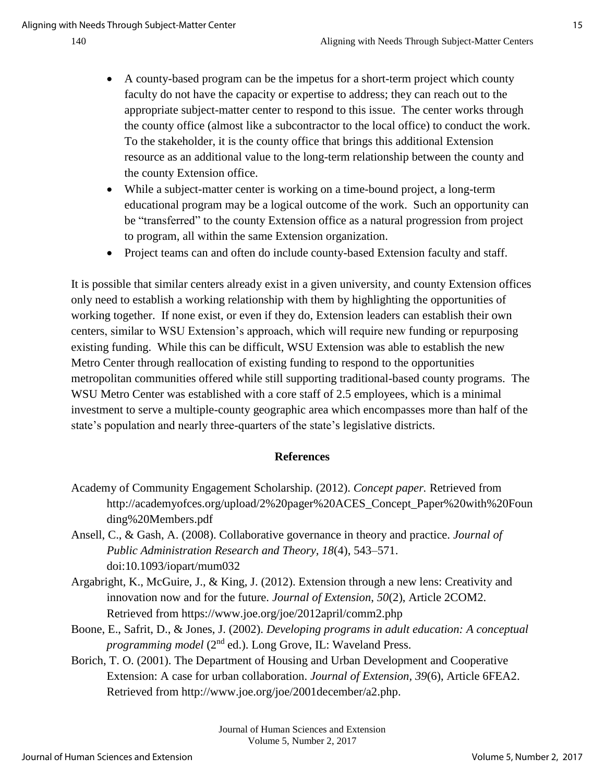- A county-based program can be the impetus for a short-term project which county faculty do not have the capacity or expertise to address; they can reach out to the appropriate subject-matter center to respond to this issue. The center works through the county office (almost like a subcontractor to the local office) to conduct the work. To the stakeholder, it is the county office that brings this additional Extension resource as an additional value to the long-term relationship between the county and the county Extension office.
- While a subject-matter center is working on a time-bound project, a long-term educational program may be a logical outcome of the work. Such an opportunity can be "transferred" to the county Extension office as a natural progression from project to program, all within the same Extension organization.
- Project teams can and often do include county-based Extension faculty and staff.

It is possible that similar centers already exist in a given university, and county Extension offices only need to establish a working relationship with them by highlighting the opportunities of working together. If none exist, or even if they do, Extension leaders can establish their own centers, similar to WSU Extension's approach, which will require new funding or repurposing existing funding. While this can be difficult, WSU Extension was able to establish the new Metro Center through reallocation of existing funding to respond to the opportunities metropolitan communities offered while still supporting traditional-based county programs. The WSU Metro Center was established with a core staff of 2.5 employees, which is a minimal investment to serve a multiple-county geographic area which encompasses more than half of the state's population and nearly three-quarters of the state's legislative districts.

#### **References**

- Academy of Community Engagement Scholarship. (2012). *Concept paper.* Retrieved from http://academyofces.org/upload/2%20pager%20ACES\_Concept\_Paper%20with%20Foun ding%20Members.pdf
- Ansell, C., & Gash, A. (2008). Collaborative governance in theory and practice. *Journal of Public Administration Research and Theory, 18*(4), 543–571. doi:10.1093/iopart/mum032
- Argabright, K., McGuire, J., & King, J. (2012). Extension through a new lens: Creativity and innovation now and for the future. *Journal of Extension*, *50*(2), Article 2COM2. Retrieved from https://www.joe.org/joe/2012april/comm2.php
- Boone, E., Safrit, D., & Jones, J. (2002). *Developing programs in adult education: A conceptual programming model* (2<sup>nd</sup> ed.). Long Grove, IL: Waveland Press.
- Borich, T. O. (2001). The Department of Housing and Urban Development and Cooperative Extension: A case for urban collaboration. *Journal of Extension, 39*(6), Article 6FEA2. Retrieved from http://www.joe.org/joe/2001december/a2.php.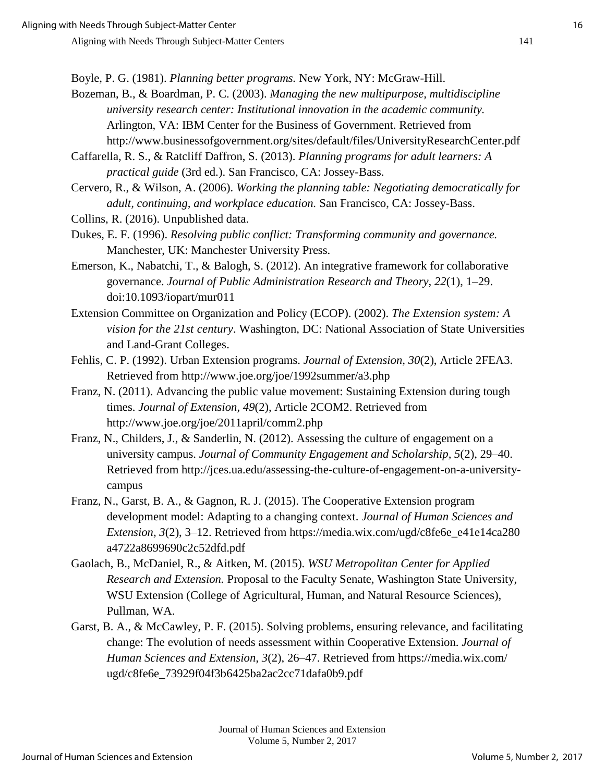Boyle, P. G. (1981). *Planning better programs.* New York, NY: McGraw-Hill.

- Bozeman, B., & Boardman, P. C. (2003). *Managing the new multipurpose, multidiscipline university research center: Institutional innovation in the academic community.* Arlington, VA: IBM Center for the Business of Government. Retrieved from http://www.businessofgovernment.org/sites/default/files/UniversityResearchCenter.pdf
- Caffarella, R. S., & Ratcliff Daffron, S. (2013). *Planning programs for adult learners: A practical guide* (3rd ed.). San Francisco, CA: Jossey-Bass.
- Cervero, R., & Wilson, A. (2006). *Working the planning table: Negotiating democratically for adult, continuing, and workplace education.* San Francisco, CA: Jossey-Bass.
- Collins, R. (2016). Unpublished data.
- Dukes, E. F. (1996). *Resolving public conflict: Transforming community and governance.* Manchester, UK: Manchester University Press.
- Emerson, K., Nabatchi, T., & Balogh, S. (2012). An integrative framework for collaborative governance. *Journal of Public Administration Research and Theory, 22*(1), 1–29. doi:10.1093/iopart/mur011
- Extension Committee on Organization and Policy (ECOP). (2002). *The Extension system: A vision for the 21st century*. Washington, DC: National Association of State Universities and Land-Grant Colleges.
- Fehlis, C. P. (1992). Urban Extension programs. *Journal of Extension, 30*(2), Article 2FEA3. Retrieved from http://www.joe.org/joe/1992summer/a3.php
- Franz, N. (2011). Advancing the public value movement: Sustaining Extension during tough times. *Journal of Extension, 49*(2), Article 2COM2. Retrieved from http://www.joe.org/joe/2011april/comm2.php
- Franz, N., Childers, J., & Sanderlin, N. (2012). Assessing the culture of engagement on a university campus. *Journal of Community Engagement and Scholarship, 5*(2), 29–40. Retrieved from http://jces.ua.edu/assessing-the-culture-of-engagement-on-a-universitycampus
- Franz, N., Garst, B. A., & Gagnon, R. J. (2015). The Cooperative Extension program development model: Adapting to a changing context. *Journal of Human Sciences and Extension, 3*(2), 3–12. Retrieved from https://media.wix.com/ugd/c8fe6e\_e41e14ca280 a4722a8699690c2c52dfd.pdf
- Gaolach, B., McDaniel, R., & Aitken, M. (2015). *WSU Metropolitan Center for Applied Research and Extension.* Proposal to the Faculty Senate, Washington State University, WSU Extension (College of Agricultural, Human, and Natural Resource Sciences), Pullman, WA.
- Garst, B. A., & McCawley, P. F. (2015). Solving problems, ensuring relevance, and facilitating change: The evolution of needs assessment within Cooperative Extension. *Journal of Human Sciences and Extension, 3*(2), 26–47. Retrieved from https://media.wix.com/ ugd/c8fe6e\_73929f04f3b6425ba2ac2cc71dafa0b9.pdf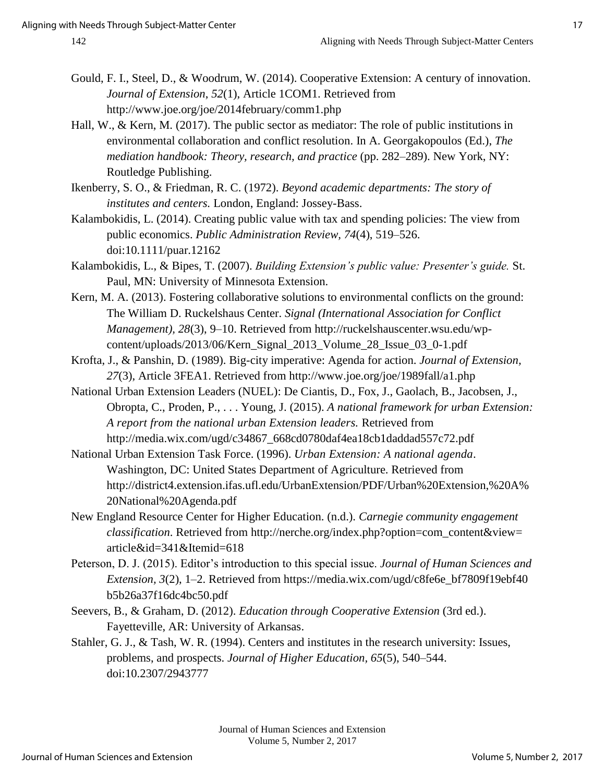Gould, F. I., Steel, D., & Woodrum, W. (2014). Cooperative Extension: A century of innovation.

*Journal of Extension*, *52*(1), Article 1COM1. Retrieved from http://www.joe.org/joe/2014february/comm1.php

- Hall, W., & Kern, M. (2017). The public sector as mediator: The role of public institutions in environmental collaboration and conflict resolution. In A. Georgakopoulos (Ed.), *The mediation handbook: Theory, research, and practice* (pp. 282–289). New York, NY: Routledge Publishing.
- Ikenberry, S. O., & Friedman, R. C. (1972). *Beyond academic departments: The story of institutes and centers.* London, England: Jossey-Bass.
- Kalambokidis, L. (2014). Creating public value with tax and spending policies: The view from public economics. *Public Administration Review, 74*(4), 519–526. doi:10.1111/puar.12162
- Kalambokidis, L., & Bipes, T. (2007). *Building Extension's public value: Presenter's guide.* St. Paul, MN: University of Minnesota Extension.
- Kern, M. A. (2013). Fostering collaborative solutions to environmental conflicts on the ground: The William D. Ruckelshaus Center. *Signal (International Association for Conflict Management), 28*(3), 9–10. Retrieved from http://ruckelshauscenter.wsu.edu/wpcontent/uploads/2013/06/Kern\_Signal\_2013\_Volume\_28\_Issue\_03\_0-1.pdf
- Krofta, J., & Panshin, D. (1989). Big-city imperative: Agenda for action. *Journal of Extension, 27*(3), Article 3FEA1. Retrieved from http://www.joe.org/joe/1989fall/a1.php
- National Urban Extension Leaders (NUEL): De Ciantis, D., Fox, J., Gaolach, B., Jacobsen, J., Obropta, C., Proden, P., . . . Young, J. (2015). *A national framework for urban Extension: A report from the national urban Extension leaders.* Retrieved from http://media.wix.com/ugd/c34867\_668cd0780daf4ea18cb1daddad557c72.pdf
- National Urban Extension Task Force. (1996). *Urban Extension: A national agenda*. Washington, DC: United States Department of Agriculture. Retrieved from http://district4.extension.ifas.ufl.edu/UrbanExtension/PDF/Urban%20Extension,%20A% 20National%20Agenda.pdf
- New England Resource Center for Higher Education. (n.d.). *Carnegie community engagement classification*. Retrieved from http://nerche.org/index.php?option=com\_content&view= article&id=341&Itemid=618
- Peterson, D. J. (2015). Editor's introduction to this special issue. *Journal of Human Sciences and Extension, 3*(2), 1–2. Retrieved from https://media.wix.com/ugd/c8fe6e\_bf7809f19ebf40 b5b26a37f16dc4bc50.pdf
- Seevers, B., & Graham, D. (2012). *Education through Cooperative Extension* (3rd ed.). Fayetteville, AR: University of Arkansas.
- Stahler, G. J., & Tash, W. R. (1994). Centers and institutes in the research university: Issues, problems, and prospects. *Journal of Higher Education, 65*(5), 540–544. doi:10.2307/2943777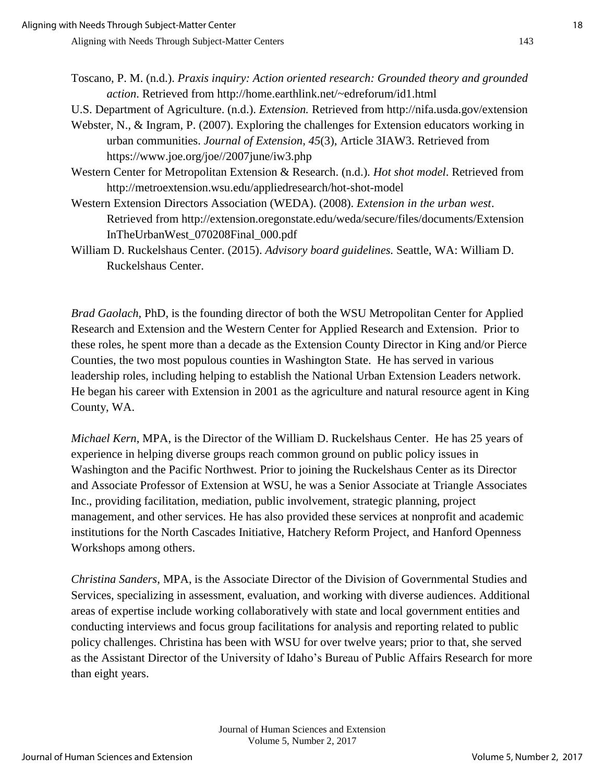- Toscano, P. M. (n.d.). *Praxis inquiry: Action oriented research: Grounded theory and grounded action*. Retrieved from http://home.earthlink.net/~edreforum/id1.html
- U.S. Department of Agriculture. (n.d.). *Extension.* Retrieved from http://nifa.usda.gov/extension
- Webster, N., & Ingram, P. (2007). Exploring the challenges for Extension educators working in urban communities. *Journal of Extension, 45*(3), Article 3IAW3. Retrieved from https://www.joe.org/joe//2007june/iw3.php

Western Center for Metropolitan Extension & Research. (n.d.). *Hot shot model*. Retrieved from http://metroextension.wsu.edu/appliedresearch/hot-shot-model

- Western Extension Directors Association (WEDA). (2008). *Extension in the urban west*. Retrieved from http://extension.oregonstate.edu/weda/secure/files/documents/Extension InTheUrbanWest\_070208Final\_000.pdf
- William D. Ruckelshaus Center. (2015). *Advisory board guidelines.* Seattle, WA: William D. Ruckelshaus Center.

*Brad Gaolach*, PhD, is the founding director of both the WSU Metropolitan Center for Applied Research and Extension and the Western Center for Applied Research and Extension. Prior to these roles, he spent more than a decade as the Extension County Director in King and/or Pierce Counties, the two most populous counties in Washington State. He has served in various leadership roles, including helping to establish the National Urban Extension Leaders network. He began his career with Extension in 2001 as the agriculture and natural resource agent in King County, WA.

*Michael Kern*, MPA, is the Director of the William D. Ruckelshaus Center. He has 25 years of experience in helping diverse groups reach common ground on public policy issues in Washington and the Pacific Northwest. Prior to joining the Ruckelshaus Center as its Director and Associate Professor of Extension at WSU, he was a Senior Associate at Triangle Associates Inc., providing facilitation, mediation, public involvement, strategic planning, project management, and other services. He has also provided these services at nonprofit and academic institutions for the North Cascades Initiative, Hatchery Reform Project, and Hanford Openness Workshops among others.

*Christina Sanders*, MPA, is the Associate Director of the Division of Governmental Studies and Services, specializing in assessment, evaluation, and working with diverse audiences. Additional areas of expertise include working collaboratively with state and local government entities and conducting interviews and focus group facilitations for analysis and reporting related to public policy challenges. Christina has been with WSU for over twelve years; prior to that, she served as the Assistant Director of the University of Idaho's Bureau of Public Affairs Research for more than eight years.